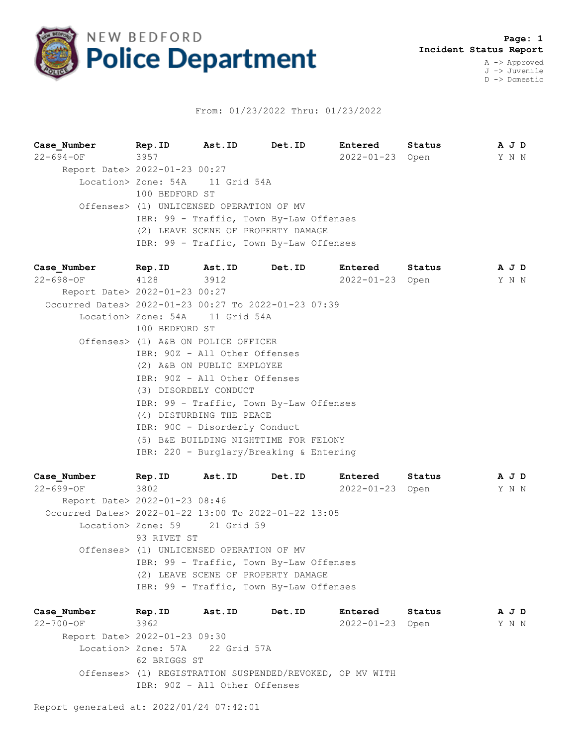

## From: 01/23/2022 Thru: 01/23/2022

**Case\_Number Rep.ID Ast.ID Det.ID Entered Status A J D** 22-694-OF 3957 2022-01-23 Open Y N N Report Date> 2022-01-23 00:27 Location> Zone: 54A 11 Grid 54A 100 BEDFORD ST Offenses> (1) UNLICENSED OPERATION OF MV IBR: 99 - Traffic, Town By-Law Offenses (2) LEAVE SCENE OF PROPERTY DAMAGE IBR: 99 - Traffic, Town By-Law Offenses

**Case\_Number Rep.ID Ast.ID Det.ID Entered Status A J D** 22-698-OF 4128 3912 2022-01-23 Open Y N N Report Date> 2022-01-23 00:27 Occurred Dates> 2022-01-23 00:27 To 2022-01-23 07:39 Location> Zone: 54A 11 Grid 54A 100 BEDFORD ST Offenses> (1) A&B ON POLICE OFFICER IBR: 90Z - All Other Offenses (2) A&B ON PUBLIC EMPLOYEE IBR: 90Z - All Other Offenses (3) DISORDELY CONDUCT IBR: 99 - Traffic, Town By-Law Offenses (4) DISTURBING THE PEACE IBR: 90C - Disorderly Conduct (5) B&E BUILDING NIGHTTIME FOR FELONY IBR: 220 - Burglary/Breaking & Entering

**Case\_Number Rep.ID Ast.ID Det.ID Entered Status A J D** 22-699-OF 3802 2022-01-23 Open Y N N Report Date> 2022-01-23 08:46 Occurred Dates> 2022-01-22 13:00 To 2022-01-22 13:05 Location> Zone: 59 21 Grid 59 93 RIVET ST Offenses> (1) UNLICENSED OPERATION OF MV IBR: 99 - Traffic, Town By-Law Offenses (2) LEAVE SCENE OF PROPERTY DAMAGE IBR: 99 - Traffic, Town By-Law Offenses

**Case\_Number Rep.ID Ast.ID Det.ID Entered Status A J D** 22-700-OF 3962 2022-01-23 Open Y N N Report Date> 2022-01-23 09:30 Location> Zone: 57A 22 Grid 57A 62 BRIGGS ST Offenses> (1) REGISTRATION SUSPENDED/REVOKED, OP MV WITH IBR: 90Z - All Other Offenses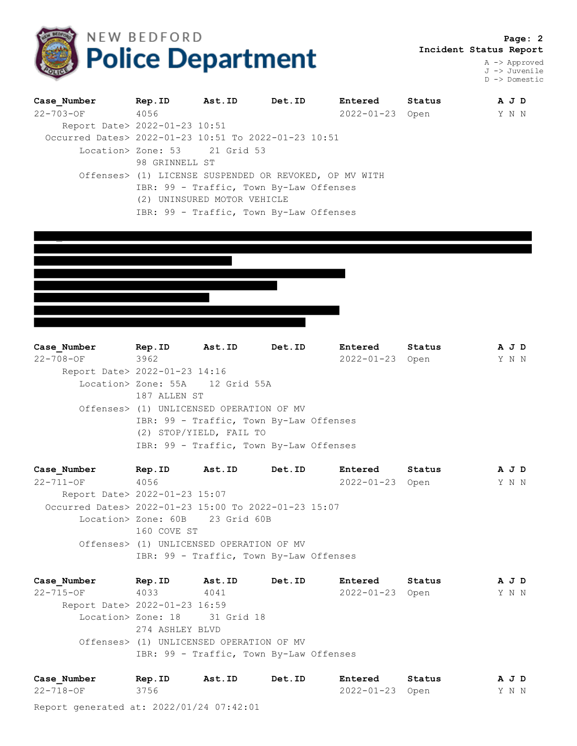

 **Page: 2 Incident Status Report**

> A -> Approved J -> Juvenile D -> Domestic

| Case Number                                          | Rep.ID                                  | Ast.ID | Det.ID                                                 | <b>Entered</b> | Status |  |  | A J D |  |  |
|------------------------------------------------------|-----------------------------------------|--------|--------------------------------------------------------|----------------|--------|--|--|-------|--|--|
| 22-703-0F                                            | 4056                                    |        |                                                        | 2022-01-23     | Open   |  |  | Y N N |  |  |
| Report Date> 2022-01-23 10:51                        |                                         |        |                                                        |                |        |  |  |       |  |  |
| Occurred Dates> 2022-01-23 10:51 To 2022-01-23 10:51 |                                         |        |                                                        |                |        |  |  |       |  |  |
|                                                      | Location> Zone: 53 21 Grid 53           |        |                                                        |                |        |  |  |       |  |  |
|                                                      | 98 GRINNELL ST                          |        |                                                        |                |        |  |  |       |  |  |
|                                                      |                                         |        | Offenses> (1) LICENSE SUSPENDED OR REVOKED, OP MV WITH |                |        |  |  |       |  |  |
|                                                      | IBR: 99 - Traffic, Town By-Law Offenses |        |                                                        |                |        |  |  |       |  |  |
|                                                      | (2) UNINSURED MOTOR VEHICLE             |        |                                                        |                |        |  |  |       |  |  |
|                                                      |                                         |        | IBR: 99 - Traffic, Town By-Law Offenses                |                |        |  |  |       |  |  |



**Case\_Number Rep.ID Ast.ID Det.ID Entered Status A J D** 22-708-OF 3962 2022-01-23 Open Y N N Report Date> 2022-01-23 14:16 Location> Zone: 55A 12 Grid 55A 187 ALLEN ST Offenses> (1) UNLICENSED OPERATION OF MV IBR: 99 - Traffic, Town By-Law Offenses (2) STOP/YIELD, FAIL TO IBR: 99 - Traffic, Town By-Law Offenses

**Case\_Number Rep.ID Ast.ID Det.ID Entered Status A J D** 22-711-OF 4056 2022-01-23 Open Y N N Report Date> 2022-01-23 15:07 Occurred Dates> 2022-01-23 15:00 To 2022-01-23 15:07 Location> Zone: 60B 23 Grid 60B 160 COVE ST Offenses> (1) UNLICENSED OPERATION OF MV IBR: 99 - Traffic, Town By-Law Offenses

**Case\_Number Rep.ID Ast.ID Det.ID Entered Status A J D** 22-715-OF 4033 4041 2022-01-23 Open Y N N Report Date> 2022-01-23 16:59 Location> Zone: 18 31 Grid 18 274 ASHLEY BLVD Offenses> (1) UNLICENSED OPERATION OF MV IBR: 99 - Traffic, Town By-Law Offenses

| Case Number | Rep.ID | Ast.ID | Det.ID | <b>Entered</b>  | Status | A J D |  |  |
|-------------|--------|--------|--------|-----------------|--------|-------|--|--|
| 22-718-OF   | 3756   |        |        | 2022-01-23 Open |        | Y N N |  |  |

Report generated at: 2022/01/24 07:42:01